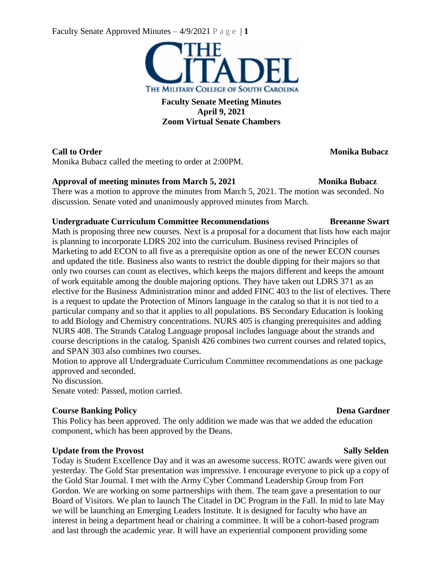Faculty Senate Approved Minutes  $-4/9/2021$  P a g e | 1



**Faculty Senate Meeting Minutes April 9, 2021 Zoom Virtual Senate Chambers**

Monika Bubacz called the meeting to order at 2:00PM.

## **Approval of meeting minutes from March 5, 2021 Monika Bubacz**

There was a motion to approve the minutes from March 5, 2021. The motion was seconded. No discussion. Senate voted and unanimously approved minutes from March.

## **Undergraduate Curriculum Committee Recommendations Breeanne Swart**

Math is proposing three new courses. Next is a proposal for a document that lists how each major is planning to incorporate LDRS 202 into the curriculum. Business revised Principles of Marketing to add ECON to all five as a prerequisite option as one of the newer ECON courses and updated the title. Business also wants to restrict the double dipping for their majors so that only two courses can count as electives, which keeps the majors different and keeps the amount of work equitable among the double majoring options. They have taken out LDRS 371 as an elective for the Business Administration minor and added FINC 403 to the list of electives. There is a request to update the Protection of Minors language in the catalog so that it is not tied to a particular company and so that it applies to all populations. BS Secondary Education is looking to add Biology and Chemistry concentrations. NURS 405 is changing prerequisites and adding NURS 408. The Strands Catalog Language proposal includes language about the strands and course descriptions in the catalog. Spanish 426 combines two current courses and related topics, and SPAN 303 also combines two courses.

Motion to approve all Undergraduate Curriculum Committee recommendations as one package approved and seconded.

No discussion.

Senate voted: Passed, motion carried.

## **Course Banking Policy Dena** Gardner

This Policy has been approved. The only addition we made was that we added the education component, which has been approved by the Deans.

## **Update from the Provost Sally Selden**

Today is Student Excellence Day and it was an awesome success. ROTC awards were given out yesterday. The Gold Star presentation was impressive. I encourage everyone to pick up a copy of the Gold Star Journal. I met with the Army Cyber Command Leadership Group from Fort Gordon. We are working on some partnerships with them. The team gave a presentation to our Board of Visitors. We plan to launch The Citadel in DC Program in the Fall. In mid to late May we will be launching an Emerging Leaders Institute. It is designed for faculty who have an interest in being a department head or chairing a committee. It will be a cohort-based program and last through the academic year. It will have an experiential component providing some

# **Call to Order Monika Bubacz**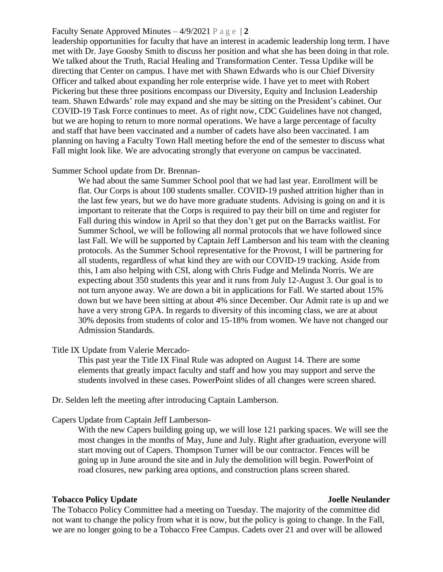### Faculty Senate Approved Minutes  $-4/9/2021$  P a g e  $|2$

leadership opportunities for faculty that have an interest in academic leadership long term. I have met with Dr. Jaye Goosby Smith to discuss her position and what she has been doing in that role. We talked about the Truth, Racial Healing and Transformation Center. Tessa Updike will be directing that Center on campus. I have met with Shawn Edwards who is our Chief Diversity Officer and talked about expanding her role enterprise wide. I have yet to meet with Robert Pickering but these three positions encompass our Diversity, Equity and Inclusion Leadership team. Shawn Edwards' role may expand and she may be sitting on the President's cabinet. Our COVID-19 Task Force continues to meet. As of right now, CDC Guidelines have not changed, but we are hoping to return to more normal operations. We have a large percentage of faculty and staff that have been vaccinated and a number of cadets have also been vaccinated. I am planning on having a Faculty Town Hall meeting before the end of the semester to discuss what Fall might look like. We are advocating strongly that everyone on campus be vaccinated.

### Summer School update from Dr. Brennan-

We had about the same Summer School pool that we had last year. Enrollment will be flat. Our Corps is about 100 students smaller. COVID-19 pushed attrition higher than in the last few years, but we do have more graduate students. Advising is going on and it is important to reiterate that the Corps is required to pay their bill on time and register for Fall during this window in April so that they don't get put on the Barracks waitlist. For Summer School, we will be following all normal protocols that we have followed since last Fall. We will be supported by Captain Jeff Lamberson and his team with the cleaning protocols. As the Summer School representative for the Provost, I will be partnering for all students, regardless of what kind they are with our COVID-19 tracking. Aside from this, I am also helping with CSI, along with Chris Fudge and Melinda Norris. We are expecting about 350 students this year and it runs from July 12-August 3. Our goal is to not turn anyone away. We are down a bit in applications for Fall. We started about 15% down but we have been sitting at about 4% since December. Our Admit rate is up and we have a very strong GPA. In regards to diversity of this incoming class, we are at about 30% deposits from students of color and 15-18% from women. We have not changed our Admission Standards.

Title IX Update from Valerie Mercado-

This past year the Title IX Final Rule was adopted on August 14. There are some elements that greatly impact faculty and staff and how you may support and serve the students involved in these cases. PowerPoint slides of all changes were screen shared.

Dr. Selden left the meeting after introducing Captain Lamberson.

Capers Update from Captain Jeff Lamberson-

With the new Capers building going up, we will lose 121 parking spaces. We will see the most changes in the months of May, June and July. Right after graduation, everyone will start moving out of Capers. Thompson Turner will be our contractor. Fences will be going up in June around the site and in July the demolition will begin. PowerPoint of road closures, new parking area options, and construction plans screen shared.

### **Tobacco Policy Update Joelle Neulander**

The Tobacco Policy Committee had a meeting on Tuesday. The majority of the committee did not want to change the policy from what it is now, but the policy is going to change. In the Fall, we are no longer going to be a Tobacco Free Campus. Cadets over 21 and over will be allowed